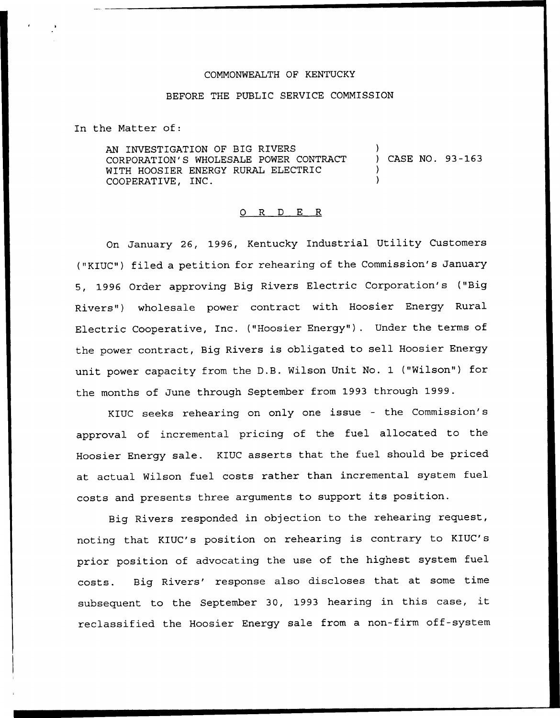## COMMONWEALTH OF KENTUCKY

## BEFORE THE PUBLIC SERVICE COMMISSION

In the Matter of:

AN INVESTIGATION OF BIG RIVERS CORPORATION'S WHOLESALE POWER CONTRACT WITH HOOSIER ENERGY RURAL ELECTRIC COOPERATIVE, INC. ) CASE NO. 93-163 ) )

#### 0 R <sup>D</sup> E R

On January 26, 1996, Kentucky Industrial Utility Customers ("KIUC") filed a petition for rehearing of the Commission's January 5, 1996 Order approving Big Rivers Electric Corporation's ("Big Rivers") wholesale power contract with Hoosier Energy Rural Electric Cooperative, Inc. ("Hoosier Energy" ). Under the terms of the power contract, Big Rivers is obligated to sell Hoosier Energy unit power capacity from the D.B. Wilson Unit No. 1 ("Wilson"} for the months of June through September from 1993 through 1999.

KIUC seeks rehearing on only one issue — the Commission's approval of incremental pricing of the fuel allocated to the Hoosier Energy sale. KIUC asserts that the fuel should be priced at actual Wilson fuel costs rather than incremental system fuel costs and presents three arguments to support its position.

Big Rivers responded in objection to the rehearing request, noting that KIUC's position on rehearing is contrary to KIUC's prior position of advocating the use of the highest system fuel costs. Big Rivers' response also discloses that at some time subsequent to the September 30, <sup>1993</sup> hearing in this case, it reclassified the Hoosier Energy sale from a non-firm off-system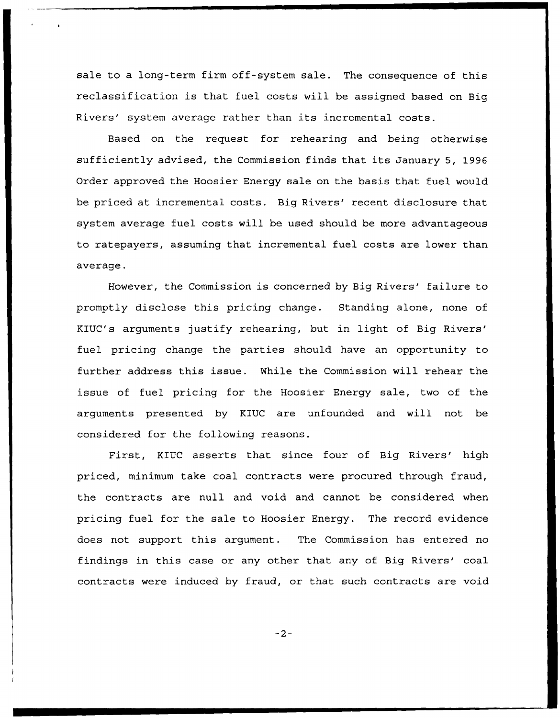sale to a long-term firm off-system sale. The consequence of this reclassification is that fuel costs will be assigned based on Big Rivers' system average rather than its incremental costs.

Based on the request for rehearing and being otherwise sufficiently advised, the Commission finds that its January 5, 1996 Order approved the Hoosier Energy sale on the basis that fuel would be priced at incremental costs. Big Rivers' recent disclosure that system average fuel costs will be used should be more advantageous to ratepayers, assuming that incremental fuel costs are lower than average.

However, the Commission is concerned by Big Rivers' failure to promptly disclose this pricing change. Standing alone, none of KIUC's arguments justify rehearing, but in light of Big fuel pricing change the parties should have an opportunity to further address this issue. While the Commission will rehear the issue of fuel pricing for the Hoosier Energy sale, two of the arguments presented by KIUC are unfounded and will not be considered for the following reasons.

First, KIUC asserts that since four of Big Rivers' high priced, minimum take coal contracts were procured through fraud, the contracts are null and void and cannot be considered when pricing fuel for the sale to Hoosier Energy. The record evidence does not support this argument. The Commission has entered no findings in this case or any other that any of Big Rivers' coal contracts were induced by fraud, or that such contracts are void

 $-2-$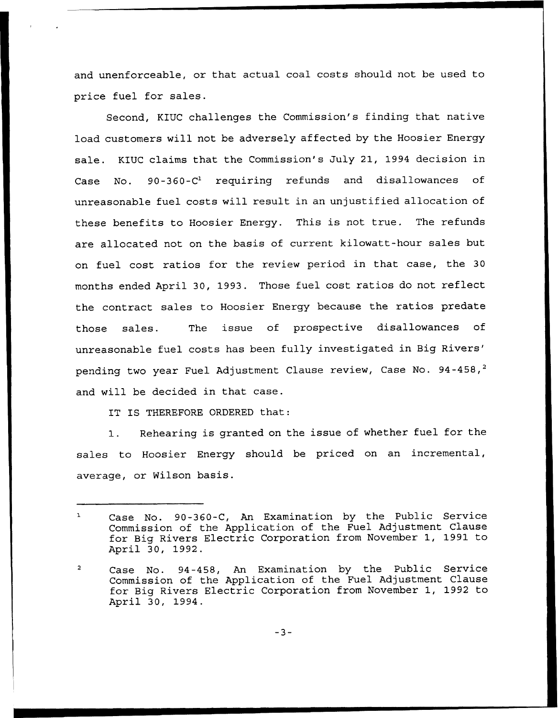and unenforceable, or that actual coal costs should not be used to price fuel for sales.

Second, KIUC challenges the Commission's finding that native load customers will not be adversely affected by the Hoosier Energy sale. KIUC claims that the Commission's July 21, 1994 decision in Case No.  $90-360-C^1$  requiring refunds and disallowances of unreasonable fuel costs will result in an unjustified allocation of these benefits to Hoosier Energy. This is not true. The refunds are allocated not on the basis of current kilowatt-hour sales but on fuel cost ratios for the review period in that case, the 30 months ended April 30, 1993. Those fuel cost ratios do not reflect the contract sales to Hoosier Energy because the ratios predate those sales. The issue of prospective disallowances of unreasonable fuel costs has been fully investigated in Big two year Fuel Adjustment Clause review, Case No. 9 and will be decided in that case.

IT IS THEREFORE ORDERED that:

1. Rehearing is granted on the issue of whether fuel for the sales to Hoosier Energy should be priced on an incremental, average, or Wilson basis.

Case No. 90-360-C, An Examination by the Public Service  $\mathbf{1}$ Commission of the Application of the Fuel Adjustment Clause for Big Rivers Electric Corporation from November 1, 1991 to April 30, 1992.

Case No. 94-458, An Examination by the Public Service  $\overline{a}$ Commission of the Application of the Fuel Adjustment Clause for Big Rivers Electric Corporation from November 1, 1992 to April 30, 1994.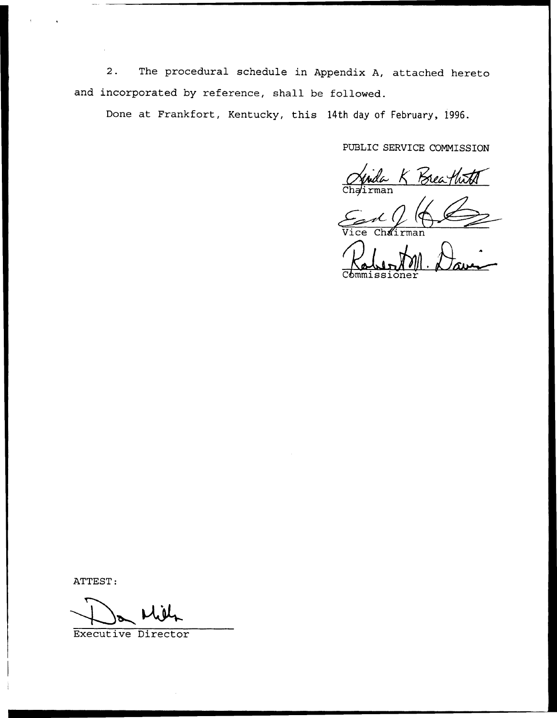2. The procedural schedule in Appendix A, attached hereto and incorporated by reference, shall be followed.

Done at Frankfort, Kentucky, this 14th day of February, 1996.

PUBLIC SERVICE COMMISSION

Chairma WICE COMMISSION

ATTEST:

Executive Director